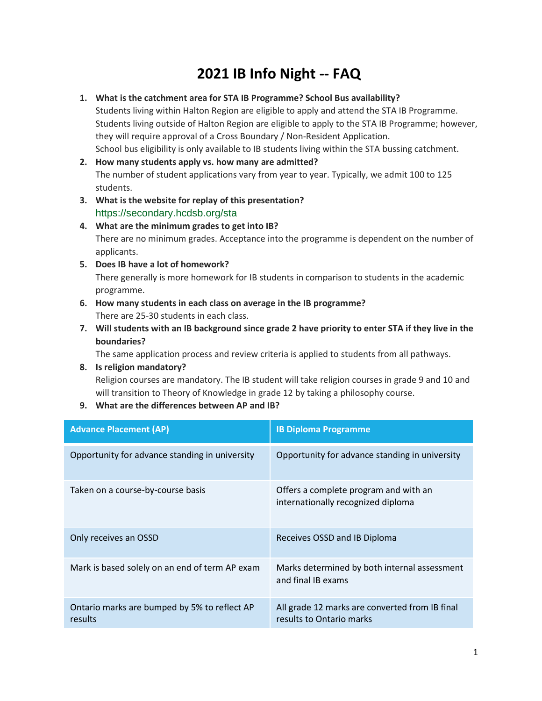## **2021 IB Info Night -- FAQ**

## **1. What is the catchment area for STA IB Programme? School Bus availability?**

Students living within Halton Region are eligible to apply and attend the STA IB Programme. Students living outside of Halton Region are eligible to apply to the STA IB Programme; however, they will require approval of a Cross Boundary / Non-Resident Application. School bus eligibility is only available to IB students living within the STA bussing catchment.

- **2. How many students apply vs. how many are admitted?** The number of student applications vary from year to year. Typically, we admit 100 to 125 students.
- **3. What is the website for replay of this presentation?** https://secondary.hcdsb.org/sta

## **4. What are the minimum grades to get into IB?** There are no minimum grades. Acceptance into the programme is dependent on the number of applicants.

**5. Does IB have a lot of homework?**

There generally is more homework for IB students in comparison to students in the academic programme.

- **6. How many students in each class on average in the IB programme?** There are 25-30 students in each class.
- **7. Will students with an IB background since grade 2 have priority to enter STA if they live in the boundaries?**

The same application process and review criteria is applied to students from all pathways.

- **8. Is religion mandatory?** Religion courses are mandatory. The IB student will take religion courses in grade 9 and 10 and will transition to Theory of Knowledge in grade 12 by taking a philosophy course.
- **9. What are the differences between AP and IB?**

| <b>Advance Placement (AP)</b>                           | <b>IB Diploma Programme</b>                                                 |
|---------------------------------------------------------|-----------------------------------------------------------------------------|
| Opportunity for advance standing in university          | Opportunity for advance standing in university                              |
| Taken on a course-by-course basis                       | Offers a complete program and with an<br>internationally recognized diploma |
| Only receives an OSSD                                   | Receives OSSD and IB Diploma                                                |
| Mark is based solely on an end of term AP exam          | Marks determined by both internal assessment<br>and final IB exams          |
| Ontario marks are bumped by 5% to reflect AP<br>results | All grade 12 marks are converted from IB final<br>results to Ontario marks  |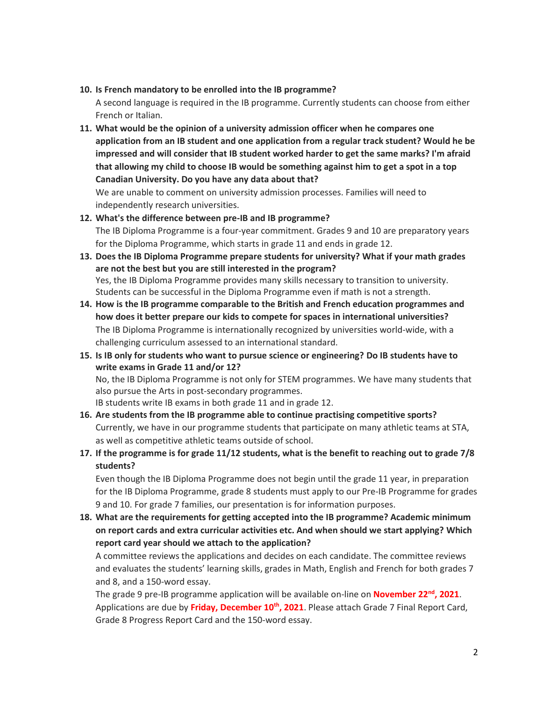#### **10. Is French mandatory to be enrolled into the IB programme?**

A second language is required in the IB programme. Currently students can choose from either French or Italian.

**11. What would be the opinion of a university admission officer when he compares one application from an IB student and one application from a regular track student? Would he be impressed and will consider that IB student worked harder to get the same marks? I'm afraid that allowing my child to choose IB would be something against him to get a spot in a top Canadian University. Do you have any data about that?** We are unable to comment on university admission processes. Families will need to

independently research universities.

- **12. What's the difference between pre-IB and IB programme?** The IB Diploma Programme is a four-year commitment. Grades 9 and 10 are preparatory years for the Diploma Programme, which starts in grade 11 and ends in grade 12.
- **13. Does the IB Diploma Programme prepare students for university? What if your math grades are not the best but you are still interested in the program?** Yes, the IB Diploma Programme provides many skills necessary to transition to university. Students can be successful in the Diploma Programme even if math is not a strength.
- **14. How is the IB programme comparable to the British and French education programmes and how does it better prepare our kids to compete for spaces in international universities?** The IB Diploma Programme is internationally recognized by universities world-wide, with a challenging curriculum assessed to an international standard.
- **15. Is IB only for students who want to pursue science or engineering? Do IB students have to write exams in Grade 11 and/or 12?** No, the IB Diploma Programme is not only for STEM programmes. We have many students that

also pursue the Arts in post-secondary programmes.

IB students write IB exams in both grade 11 and in grade 12.

- **16. Are students from the IB programme able to continue practising competitive sports?** Currently, we have in our programme students that participate on many athletic teams at STA, as well as competitive athletic teams outside of school.
- **17. If the programme is for grade 11/12 students, what is the benefit to reaching out to grade 7/8 students?**

Even though the IB Diploma Programme does not begin until the grade 11 year, in preparation for the IB Diploma Programme, grade 8 students must apply to our Pre-IB Programme for grades 9 and 10. For grade 7 families, our presentation is for information purposes.

**18. What are the requirements for getting accepted into the IB programme? Academic minimum on report cards and extra curricular activities etc. And when should we start applying? Which report card year should we attach to the application?**

A committee reviews the applications and decides on each candidate. The committee reviews and evaluates the students' learning skills, grades in Math, English and French for both grades 7 and 8, and a 150-word essay.

The grade 9 pre-IB programme application will be available on-line on **November 22nd, 2021**. Applications are due by **Friday, December 10th, 2021**. Please attach Grade 7 Final Report Card, Grade 8 Progress Report Card and the 150-word essay.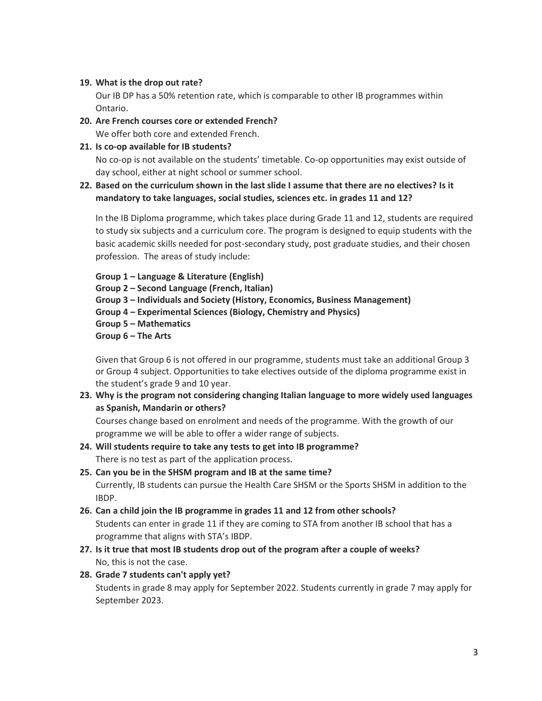## **19. What is the drop out rate?**

Our IB DP has a 50% retention rate, which is comparable to other IB programmes within Ontario.

## **20. Are French courses core or extended French?**

We offer both core and extended French.

**21. Is co-op available for IB students?**

No co-op is not available on the students' timetable. Co-op opportunities may exist outside of day school, either at night school or summer school.

**22. Based on the curriculum shown in the last slide I assume that there are no electives? Is it mandatory to take languages, social studies, sciences etc. in grades 11 and 12?**

In the IB Diploma programme, which takes place during Grade 11 and 12, students are required to study six subjects and a curriculum core. The program is designed to equip students with the basic academic skills needed for post-secondary study, post graduate studies, and their chosen profession. The areas of study include:

**Group 1 – Language & Literature (English)**

**Group 2 – Second Language (French, Italian)**

- **Group 3 – Individuals and Society (History, Economics, Business Management)**
- **Group 4 – Experimental Sciences (Biology, Chemistry and Physics)**
- **Group 5 – Mathematics**
- **Group 6 – The Arts**

Given that Group 6 is not offered in our programme, students must take an additional Group 3 or Group 4 subject. Opportunities to take electives outside of the diploma programme exist in the student's grade 9 and 10 year.

**23. Why is the program not considering changing Italian language to more widely used languages as Spanish, Mandarin or others?**

Courses change based on enrolment and needs of the programme. With the growth of our programme we will be able to offer a wider range of subjects.

- **24. Will students require to take any tests to get into IB programme?** There is no test as part of the application process.
- **25. Can you be in the SHSM program and IB at the same time?** Currently, IB students can pursue the Health Care SHSM or the Sports SHSM in addition to the IBDP.
- **26. Can a child join the IB programme in grades 11 and 12 from other schools?** Students can enter in grade 11 if they are coming to STA from another IB school that has a programme that aligns with STA's IBDP.
- **27. Is it true that most IB students drop out of the program after a couple of weeks?** No, this is not the case.

## **28. Grade 7 students can't apply yet?**

Students in grade 8 may apply for September 2022. Students currently in grade 7 may apply for September 2023.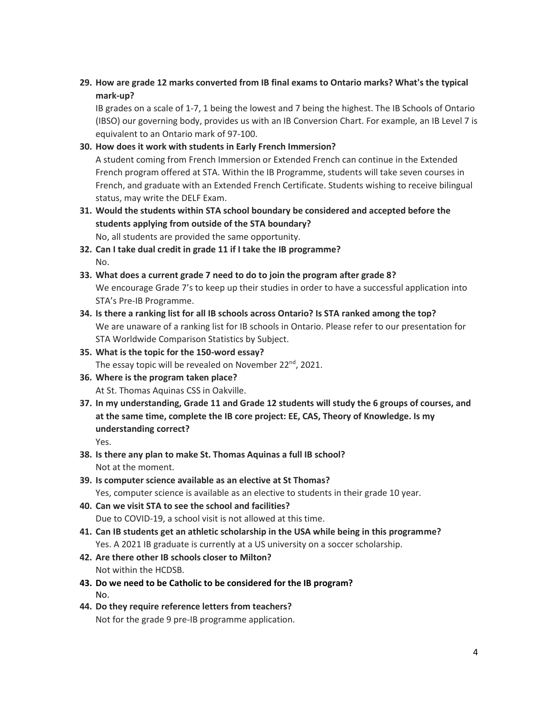## **29. How are grade 12 marks converted from IB final exams to Ontario marks? What's the typical mark-up?**

IB grades on a scale of 1-7, 1 being the lowest and 7 being the highest. The IB Schools of Ontario (IBSO) our governing body, provides us with an IB Conversion Chart. For example, an IB Level 7 is equivalent to an Ontario mark of 97-100.

## **30. How does it work with students in Early French Immersion?**

A student coming from French Immersion or Extended French can continue in the Extended French program offered at STA. Within the IB Programme, students will take seven courses in French, and graduate with an Extended French Certificate. Students wishing to receive bilingual status, may write the DELF Exam.

- **31. Would the students within STA school boundary be considered and accepted before the students applying from outside of the STA boundary?** No, all students are provided the same opportunity.
- **32. Can I take dual credit in grade 11 if I take the IB programme?** No.
- **33. What does a current grade 7 need to do to join the program after grade 8?** We encourage Grade 7's to keep up their studies in order to have a successful application into STA's Pre-IB Programme.
- **34. Is there a ranking list for all IB schools across Ontario? Is STA ranked among the top?** We are unaware of a ranking list for IB schools in Ontario. Please refer to our presentation for STA Worldwide Comparison Statistics by Subject.
- **35. What is the topic for the 150-word essay?** The essay topic will be revealed on November  $22^{nd}$ , 2021.
- **36. Where is the program taken place?** At St. Thomas Aquinas CSS in Oakville.
- **37. In my understanding, Grade 11 and Grade 12 students will study the 6 groups of courses, and at the same time, complete the IB core project: EE, CAS, Theory of Knowledge. Is my understanding correct?**

Yes.

- **38. Is there any plan to make St. Thomas Aquinas a full IB school?** Not at the moment.
- **39. Is computer science available as an elective at St Thomas?** Yes, computer science is available as an elective to students in their grade 10 year.
- **40. Can we visit STA to see the school and facilities?** Due to COVID-19, a school visit is not allowed at this time.
- **41. Can IB students get an athletic scholarship in the USA while being in this programme?** Yes. A 2021 IB graduate is currently at a US university on a soccer scholarship.
- **42. Are there other IB schools closer to Milton?** Not within the HCDSB.
- **43. Do we need to be Catholic to be considered for the IB program?**  No.
- **44. Do they require reference letters from teachers?** Not for the grade 9 pre-IB programme application.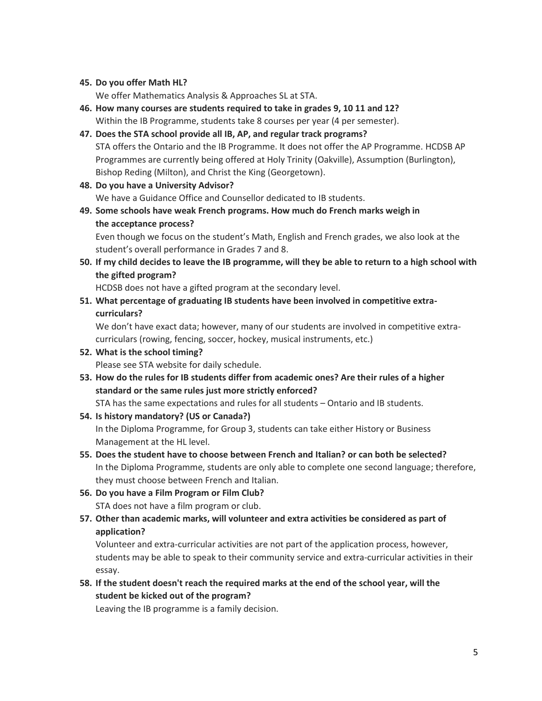#### **45. Do you offer Math HL?**

We offer Mathematics Analysis & Approaches SL at STA.

- **46. How many courses are students required to take in grades 9, 10 11 and 12?** Within the IB Programme, students take 8 courses per year (4 per semester).
- **47. Does the STA school provide all IB, AP, and regular track programs?** STA offers the Ontario and the IB Programme. It does not offer the AP Programme. HCDSB AP Programmes are currently being offered at Holy Trinity (Oakville), Assumption (Burlington), Bishop Reding (Milton), and Christ the King (Georgetown).
- **48. Do you have a University Advisor?** We have a Guidance Office and Counsellor dedicated to IB students.
- **49. Some schools have weak French programs. How much do French marks weigh in the acceptance process?**

Even though we focus on the student's Math, English and French grades, we also look at the student's overall performance in Grades 7 and 8.

**50. If my child decides to leave the IB programme, will they be able to return to a high school with the gifted program?**

HCDSB does not have a gifted program at the secondary level.

**51. What percentage of graduating IB students have been involved in competitive extracurriculars?**

We don't have exact data; however, many of our students are involved in competitive extracurriculars (rowing, fencing, soccer, hockey, musical instruments, etc.)

# **52. What is the school timing?**

Please see STA website for daily schedule.

**53. How do the rules for IB students differ from academic ones? Are their rules of a higher standard or the same rules just more strictly enforced?**

STA has the same expectations and rules for all students – Ontario and IB students.

**54. Is history mandatory? (US or Canada?)**

In the Diploma Programme, for Group 3, students can take either History or Business Management at the HL level.

- **55. Does the student have to choose between French and Italian? or can both be selected?** In the Diploma Programme, students are only able to complete one second language; therefore, they must choose between French and Italian.
- **56. Do you have a Film Program or Film Club?** STA does not have a film program or club.
- **57. Other than academic marks, will volunteer and extra activities be considered as part of application?**

Volunteer and extra-curricular activities are not part of the application process, however, students may be able to speak to their community service and extra-curricular activities in their essay.

**58. If the student doesn't reach the required marks at the end of the school year, will the student be kicked out of the program?**

Leaving the IB programme is a family decision.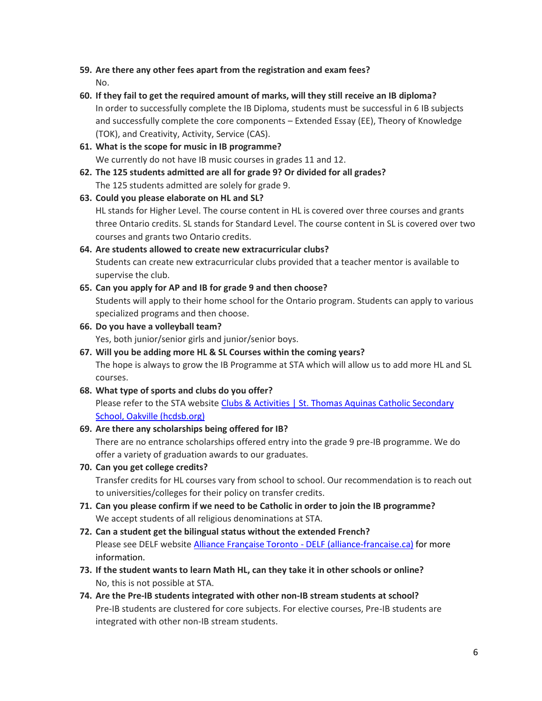- **59. Are there any other fees apart from the registration and exam fees?** No.
- **60. If they fail to get the required amount of marks, will they still receive an IB diploma?** In order to successfully complete the IB Diploma, students must be successful in 6 IB subjects and successfully complete the core components – Extended Essay (EE), Theory of Knowledge (TOK), and Creativity, Activity, Service (CAS).
- **61. What is the scope for music in IB programme?** We currently do not have IB music courses in grades 11 and 12.
- **62. The 125 students admitted are all for grade 9? Or divided for all grades?** The 125 students admitted are solely for grade 9.
- **63. Could you please elaborate on HL and SL?** HL stands for Higher Level. The course content in HL is covered over three courses and grants three Ontario credits. SL stands for Standard Level. The course content in SL is covered over two courses and grants two Ontario credits.

## **64. Are students allowed to create new extracurricular clubs?** Students can create new extracurricular clubs provided that a teacher mentor is available to supervise the club.

- **65. Can you apply for AP and IB for grade 9 and then choose?** Students will apply to their home school for the Ontario program. Students can apply to various specialized programs and then choose.
- **66. Do you have a volleyball team?** Yes, both junior/senior girls and junior/senior boys.
- **67. Will you be adding more HL & SL Courses within the coming years?** The hope is always to grow the IB Programme at STA which will allow us to add more HL and SL courses.
- **68. What type of sports and clubs do you offer?** Please refer to the STA website Clubs & Activities | St. Thomas Aquinas Catholic Secondary [School, Oakville \(hcdsb.org\)](https://secondary.hcdsb.org/sta/students/clubs-activities/)

## **69. Are there any scholarships being offered for IB?** There are no entrance scholarships offered entry into the grade 9 pre-IB programme. We do

offer a variety of graduation awards to our graduates.

**70. Can you get college credits?**

Transfer credits for HL courses vary from school to school. Our recommendation is to reach out to universities/colleges for their policy on transfer credits.

- **71. Can you please confirm if we need to be Catholic in order to join the IB programme?** We accept students of all religious denominations at STA.
- **72. Can a student get the bilingual status without the extended French?** Please see DELF website [Alliance Française Toronto -](https://www.alliance-francaise.ca/en/exams/diplomas/delf) DELF (alliance-francaise.ca) for more information.
- **73. If the student wants to learn Math HL, can they take it in other schools or online?** No, this is not possible at STA.
- **74. Are the Pre-IB students integrated with other non-IB stream students at school?** Pre-IB students are clustered for core subjects. For elective courses, Pre-IB students are integrated with other non-IB stream students.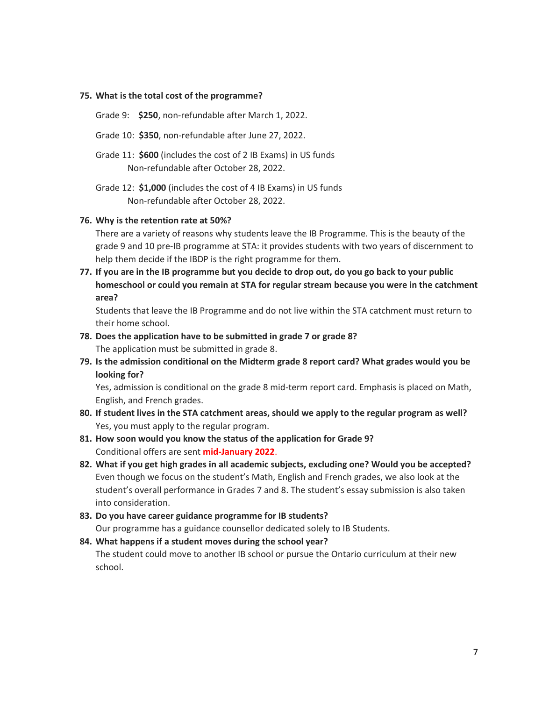#### **75. What is the total cost of the programme?**

- Grade 9: **\$250**, non-refundable after March 1, 2022.
- Grade 10: **\$350**, non-refundable after June 27, 2022.
- Grade 11: **\$600** (includes the cost of 2 IB Exams) in US funds Non-refundable after October 28, 2022.
- Grade 12: **\$1,000** (includes the cost of 4 IB Exams) in US funds Non-refundable after October 28, 2022.

#### **76. Why is the retention rate at 50%?**

There are a variety of reasons why students leave the IB Programme. This is the beauty of the grade 9 and 10 pre-IB programme at STA: it provides students with two years of discernment to help them decide if the IBDP is the right programme for them.

**77. If you are in the IB programme but you decide to drop out, do you go back to your public homeschool or could you remain at STA for regular stream because you were in the catchment area?**

Students that leave the IB Programme and do not live within the STA catchment must return to their home school.

- **78. Does the application have to be submitted in grade 7 or grade 8?** The application must be submitted in grade 8.
- **79. Is the admission conditional on the Midterm grade 8 report card? What grades would you be looking for?**

Yes, admission is conditional on the grade 8 mid-term report card. Emphasis is placed on Math, English, and French grades.

- **80. If student lives in the STA catchment areas, should we apply to the regular program as well?** Yes, you must apply to the regular program.
- **81. How soon would you know the status of the application for Grade 9?** Conditional offers are sent **mid-January 2022**.
- **82. What if you get high grades in all academic subjects, excluding one? Would you be accepted?** Even though we focus on the student's Math, English and French grades, we also look at the student's overall performance in Grades 7 and 8. The student's essay submission is also taken into consideration.

**83. Do you have career guidance programme for IB students?** Our programme has a guidance counsellor dedicated solely to IB Students.

## **84. What happens if a student moves during the school year?** The student could move to another IB school or pursue the Ontario curriculum at their new school.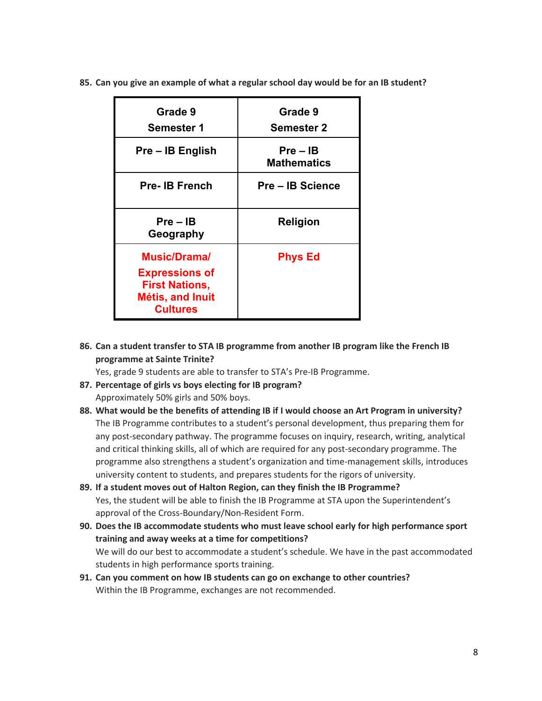**85. Can you give an example of what a regular school day would be for an IB student?**

| Grade 9<br><b>Semester 1</b>                                                                                        | Grade 9<br><b>Semester 2</b>     |
|---------------------------------------------------------------------------------------------------------------------|----------------------------------|
| Pre – IB English                                                                                                    | $Pre - IB$<br><b>Mathematics</b> |
| <b>Pre-IB French</b>                                                                                                | <b>Pre – IB Science</b>          |
| $Pre - IB$<br>Geography                                                                                             | <b>Religion</b>                  |
| <b>Music/Dramal</b><br><b>Expressions of</b><br><b>First Nations,</b><br><b>Métis, and Inuit</b><br><b>Cultures</b> | <b>Phys Ed</b>                   |

## **86. Can a student transfer to STA IB programme from another IB program like the French IB programme at Sainte Trinite?**

Yes, grade 9 students are able to transfer to STA's Pre-IB Programme.

- **87. Percentage of girls vs boys electing for IB program?** Approximately 50% girls and 50% boys.
- **88. What would be the benefits of attending IB if I would choose an Art Program in university?** The IB Programme contributes to a student's personal development, thus preparing them for any post-secondary pathway. The programme focuses on inquiry, research, writing, analytical and critical thinking skills, all of which are required for any post-secondary programme. The programme also strengthens a student's organization and time-management skills, introduces university content to students, and prepares students for the rigors of university.
- **89. If a student moves out of Halton Region, can they finish the IB Programme?** Yes, the student will be able to finish the IB Programme at STA upon the Superintendent's approval of the Cross-Boundary/Non-Resident Form.
- **90. Does the IB accommodate students who must leave school early for high performance sport training and away weeks at a time for competitions?** We will do our best to accommodate a student's schedule. We have in the past accommodated students in high performance sports training.
- **91. Can you comment on how IB students can go on exchange to other countries?** Within the IB Programme, exchanges are not recommended.